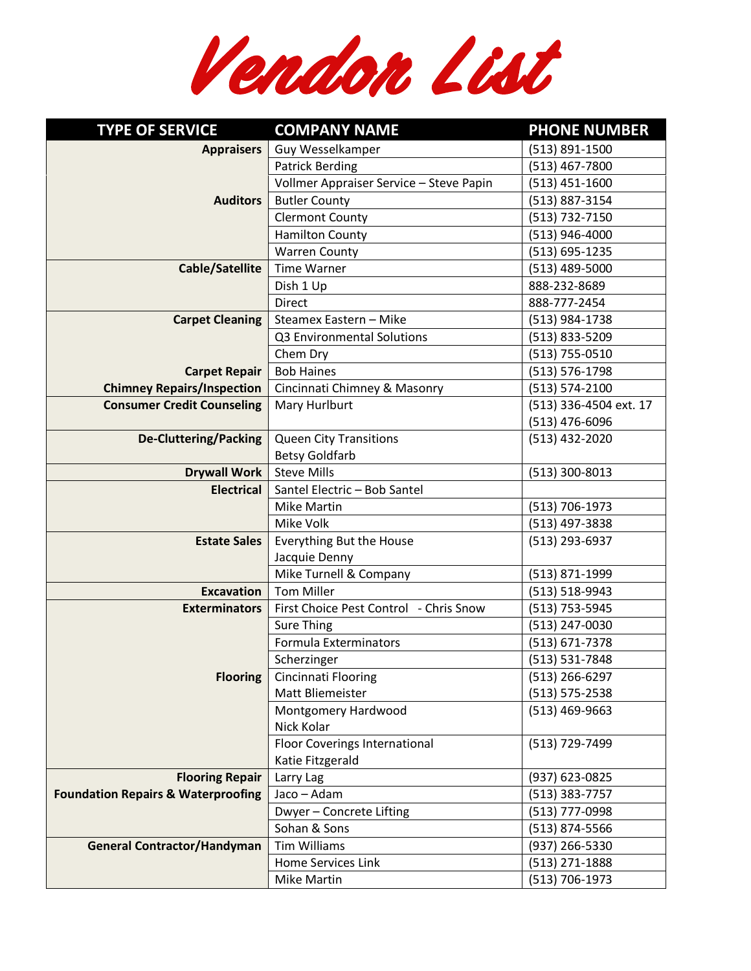**Vendor List**

| <b>TYPE OF SERVICE</b>                                                  | <b>COMPANY NAME</b>                      | <b>PHONE NUMBER</b>              |
|-------------------------------------------------------------------------|------------------------------------------|----------------------------------|
| <b>Appraisers</b>                                                       | <b>Guy Wesselkamper</b>                  | (513) 891-1500                   |
|                                                                         | <b>Patrick Berding</b>                   | (513) 467-7800                   |
|                                                                         | Vollmer Appraiser Service - Steve Papin  | $(513) 451 - 1600$               |
| <b>Auditors</b>                                                         | <b>Butler County</b>                     | (513) 887-3154                   |
|                                                                         | <b>Clermont County</b>                   | (513) 732-7150                   |
|                                                                         | <b>Hamilton County</b>                   | (513) 946-4000                   |
|                                                                         | <b>Warren County</b>                     | (513) 695-1235                   |
| Cable/Satellite                                                         | <b>Time Warner</b>                       | $(513)$ 489-5000                 |
|                                                                         | Dish 1 Up                                | 888-232-8689                     |
|                                                                         | <b>Direct</b>                            | 888-777-2454                     |
| <b>Carpet Cleaning</b>                                                  | Steamex Eastern - Mike                   | (513) 984-1738                   |
|                                                                         | Q3 Environmental Solutions               | $(513)$ 833-5209                 |
|                                                                         | Chem Dry                                 | (513) 755-0510                   |
| <b>Carpet Repair</b>                                                    | <b>Bob Haines</b>                        | $(513) 576 - 1798$               |
| <b>Chimney Repairs/Inspection</b>                                       | Cincinnati Chimney & Masonry             | (513) 574-2100                   |
| <b>Consumer Credit Counseling</b>                                       | Mary Hurlburt                            | (513) 336-4504 ext. 17           |
|                                                                         |                                          | (513) 476-6096                   |
| <b>De-Cluttering/Packing</b>                                            | <b>Queen City Transitions</b>            | (513) 432-2020                   |
|                                                                         | <b>Betsy Goldfarb</b>                    |                                  |
| <b>Drywall Work</b>                                                     | <b>Steve Mills</b>                       | (513) 300-8013                   |
| <b>Electrical</b>                                                       | Santel Electric - Bob Santel             |                                  |
|                                                                         | <b>Mike Martin</b>                       | (513) 706-1973                   |
|                                                                         | Mike Volk                                | (513) 497-3838                   |
| <b>Estate Sales</b>                                                     | Everything But the House                 | (513) 293-6937                   |
|                                                                         | Jacquie Denny                            |                                  |
|                                                                         | Mike Turnell & Company                   | (513) 871-1999                   |
| <b>Excavation</b>                                                       | <b>Tom Miller</b>                        | (513) 518-9943                   |
| <b>Exterminators</b>                                                    | First Choice Pest Control - Chris Snow   | (513) 753-5945                   |
|                                                                         | <b>Sure Thing</b>                        | (513) 247-0030                   |
|                                                                         | <b>Formula Exterminators</b>             | (513) 671-7378                   |
|                                                                         | Scherzinger                              | (513) 531-7848                   |
| <b>Flooring</b>                                                         | Cincinnati Flooring                      | (513) 266-6297                   |
|                                                                         | Matt Bliemeister                         | $(513) 575 - 2538$               |
|                                                                         | Montgomery Hardwood                      | (513) 469-9663                   |
|                                                                         | Nick Kolar                               |                                  |
|                                                                         | <b>Floor Coverings International</b>     | (513) 729-7499                   |
|                                                                         | Katie Fitzgerald                         |                                  |
| <b>Flooring Repair</b><br><b>Foundation Repairs &amp; Waterproofing</b> | Larry Lag<br>Jaco - Adam                 | (937) 623-0825<br>(513) 383-7757 |
|                                                                         |                                          |                                  |
|                                                                         | Dwyer - Concrete Lifting<br>Sohan & Sons | (513) 777-0998                   |
|                                                                         | <b>Tim Williams</b>                      | (513) 874-5566                   |
| <b>General Contractor/Handyman</b>                                      | Home Services Link                       | (937) 266-5330                   |
|                                                                         | Mike Martin                              | (513) 271-1888<br>(513) 706-1973 |
|                                                                         |                                          |                                  |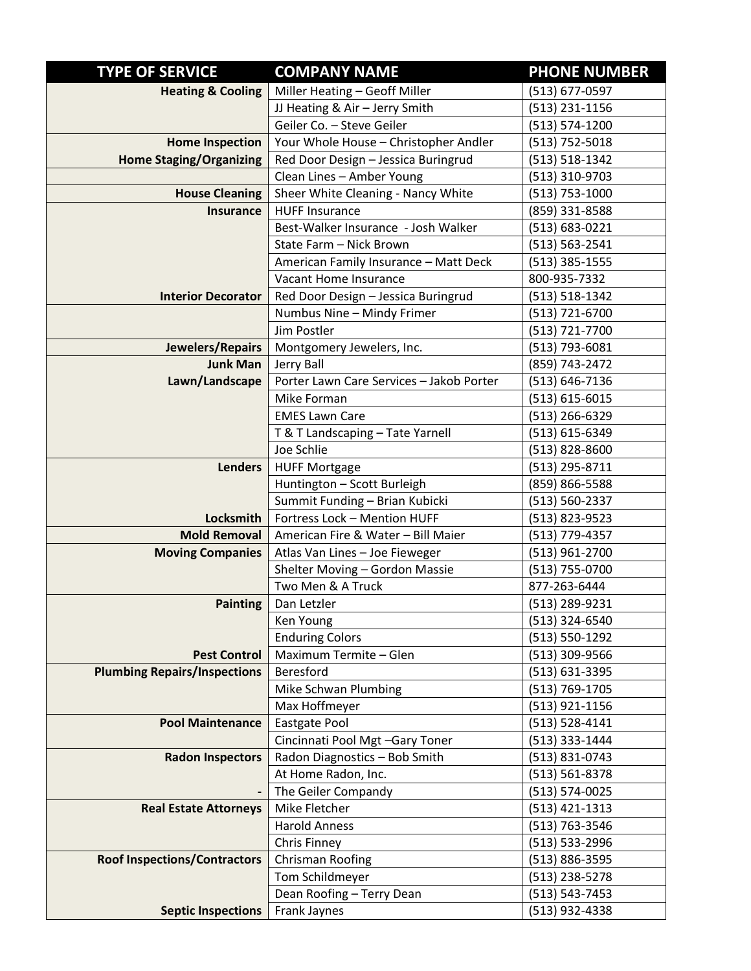| <b>TYPE OF SERVICE</b>              | <b>COMPANY NAME</b>                      | <b>PHONE NUMBER</b> |
|-------------------------------------|------------------------------------------|---------------------|
| <b>Heating &amp; Cooling</b>        | Miller Heating - Geoff Miller            | (513) 677-0597      |
|                                     | JJ Heating & Air - Jerry Smith           | (513) 231-1156      |
|                                     | Geiler Co. - Steve Geiler                | (513) 574-1200      |
| <b>Home Inspection</b>              | Your Whole House - Christopher Andler    | (513) 752-5018      |
| <b>Home Staging/Organizing</b>      | Red Door Design - Jessica Buringrud      | $(513) 518 - 1342$  |
|                                     | Clean Lines - Amber Young                | (513) 310-9703      |
| <b>House Cleaning</b>               | Sheer White Cleaning - Nancy White       | $(513)$ 753-1000    |
| <b>Insurance</b>                    | <b>HUFF Insurance</b>                    | (859) 331-8588      |
|                                     | Best-Walker Insurance - Josh Walker      | (513) 683-0221      |
|                                     | State Farm - Nick Brown                  | $(513) 563 - 2541$  |
|                                     | American Family Insurance - Matt Deck    | $(513)$ 385-1555    |
|                                     | Vacant Home Insurance                    | 800-935-7332        |
| <b>Interior Decorator</b>           | Red Door Design - Jessica Buringrud      | $(513) 518 - 1342$  |
|                                     | Numbus Nine - Mindy Frimer               | $(513) 721 - 6700$  |
|                                     | Jim Postler                              | (513) 721-7700      |
| Jewelers/Repairs                    | Montgomery Jewelers, Inc.                | (513) 793-6081      |
| <b>Junk Man</b>                     | Jerry Ball                               | (859) 743-2472      |
| Lawn/Landscape                      | Porter Lawn Care Services - Jakob Porter | (513) 646-7136      |
|                                     | Mike Forman                              | (513) 615-6015      |
|                                     | <b>EMES Lawn Care</b>                    | (513) 266-6329      |
|                                     | T & T Landscaping - Tate Yarnell         | (513) 615-6349      |
|                                     | Joe Schlie                               | (513) 828-8600      |
| <b>Lenders</b>                      | <b>HUFF Mortgage</b>                     | (513) 295-8711      |
|                                     | Huntington - Scott Burleigh              | (859) 866-5588      |
|                                     | Summit Funding - Brian Kubicki           | $(513) 560 - 2337$  |
| <b>Locksmith</b>                    | Fortress Lock - Mention HUFF             | (513) 823-9523      |
| <b>Mold Removal</b>                 | American Fire & Water - Bill Maier       | (513) 779-4357      |
| <b>Moving Companies</b>             | Atlas Van Lines - Joe Fieweger           | $(513)$ 961-2700    |
|                                     | Shelter Moving - Gordon Massie           | (513) 755-0700      |
|                                     | Two Men & A Truck                        | 877-263-6444        |
| <b>Painting</b>                     | Dan Letzler                              | (513) 289-9231      |
|                                     | Ken Young                                | (513) 324-6540      |
|                                     | <b>Enduring Colors</b>                   | (513) 550-1292      |
| <b>Pest Control</b>                 | Maximum Termite - Glen                   | (513) 309-9566      |
| <b>Plumbing Repairs/Inspections</b> | Beresford                                | $(513) 631 - 3395$  |
|                                     | Mike Schwan Plumbing                     | (513) 769-1705      |
|                                     | Max Hoffmeyer                            | (513) 921-1156      |
| <b>Pool Maintenance</b>             | Eastgate Pool                            | (513) 528-4141      |
|                                     | Cincinnati Pool Mgt -Gary Toner          | (513) 333-1444      |
| <b>Radon Inspectors</b>             | Radon Diagnostics - Bob Smith            | (513) 831-0743      |
|                                     | At Home Radon, Inc.                      | (513) 561-8378      |
| $\blacksquare$                      | The Geiler Compandy                      | $(513) 574 - 0025$  |
| <b>Real Estate Attorneys</b>        | Mike Fletcher                            | (513) 421-1313      |
|                                     | <b>Harold Anness</b>                     | (513) 763-3546      |
|                                     | Chris Finney                             | (513) 533-2996      |
| <b>Roof Inspections/Contractors</b> | <b>Chrisman Roofing</b>                  | (513) 886-3595      |
|                                     | Tom Schildmeyer                          | (513) 238-5278      |
|                                     | Dean Roofing - Terry Dean                | $(513) 543 - 7453$  |
| <b>Septic Inspections</b>           | Frank Jaynes                             | (513) 932-4338      |